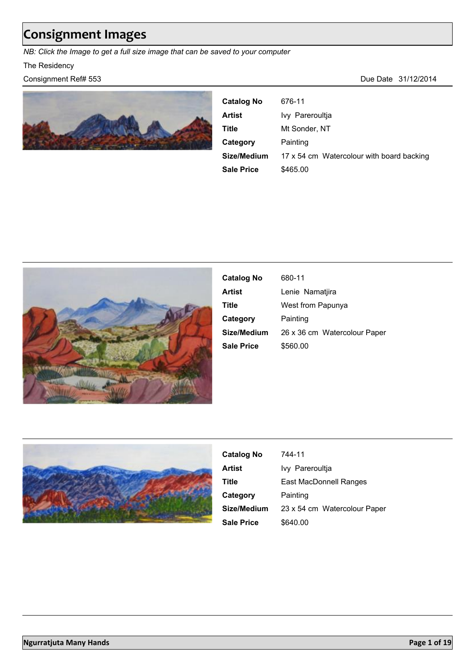# **Consignment Images**

*NB: Click the Image to get a full size image that can be saved to your computer*

#### The Residency

#### Consignment Ref# 553 Due Date 31/12/2014



| <b>Catalog No</b> | 676-11                                    |
|-------------------|-------------------------------------------|
| Artist            | Ivy Pareroultia                           |
| Title             | Mt Sonder, NT                             |
| Category          | Painting                                  |
| Size/Medium       | 17 x 54 cm Watercolour with board backing |
| Sale Price        | \$465.00                                  |



| <b>Catalog No</b> | 680-11                       |
|-------------------|------------------------------|
| Artist            | Lenie Namatiira              |
| Title             | West from Papunya            |
| Category          | Painting                     |
| Size/Medium       | 26 x 36 cm Watercolour Paper |
| <b>Sale Price</b> | \$560.00                     |
|                   |                              |



| <b>Catalog No</b> | 744-11                       |
|-------------------|------------------------------|
| <b>Artist</b>     | Ivy Pareroultia              |
| Title             | East MacDonnell Ranges       |
| Category          | Painting                     |
| Size/Medium       | 23 x 54 cm Watercolour Paper |
| <b>Sale Price</b> | \$640.00                     |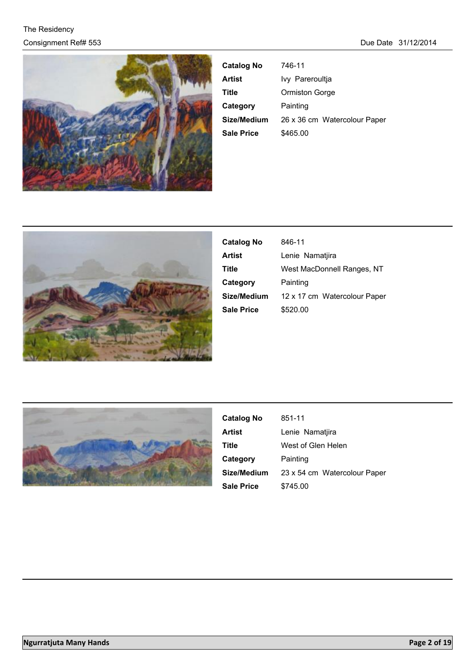

| <b>Catalog No</b> | 746-11                       |
|-------------------|------------------------------|
| <b>Artist</b>     | Ivy Pareroultja              |
| Title             | Ormiston Gorge               |
| Category          | Painting                     |
| Size/Medium       | 26 x 36 cm Watercolour Paper |
| <b>Sale Price</b> | \$465.00                     |



| <b>Catalog No</b> | 846-11                       |
|-------------------|------------------------------|
| Artist            | Lenie Namatjira              |
| Title             | West MacDonnell Ranges, NT   |
| Category          | Painting                     |
| Size/Medium       | 12 x 17 cm Watercolour Paper |
| <b>Sale Price</b> | \$520.00                     |
|                   |                              |



| <b>Catalog No</b> | 851-11                       |
|-------------------|------------------------------|
| <b>Artist</b>     | Lenie Namatjira              |
| Title             | West of Glen Helen           |
| Category          | Painting                     |
| Size/Medium       | 23 x 54 cm Watercolour Paper |
| <b>Sale Price</b> | \$745.00                     |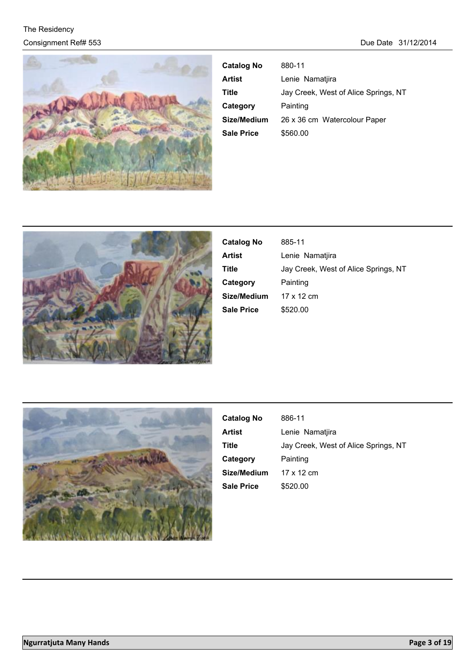

| <b>Catalog No</b> | 880-11                               |
|-------------------|--------------------------------------|
| Artist            | Lenie Namatiira                      |
| Title             | Jay Creek, West of Alice Springs, NT |
| Category          | Painting                             |
| Size/Medium       | 26 x 36 cm Watercolour Paper         |
| <b>Sale Price</b> | \$560.00                             |



| <b>Catalog No</b> | 885-11                               |
|-------------------|--------------------------------------|
| Artist            | Lenie Namatiira                      |
| Title             | Jay Creek, West of Alice Springs, NT |
| Category          | Painting                             |
| Size/Medium       | 17 x 12 cm                           |
| <b>Sale Price</b> | \$520.00                             |



| 886-11                               |
|--------------------------------------|
| Lenie Namatjira                      |
| Jay Creek, West of Alice Springs, NT |
| Painting                             |
| 17 x 12 cm                           |
| \$520.00                             |
|                                      |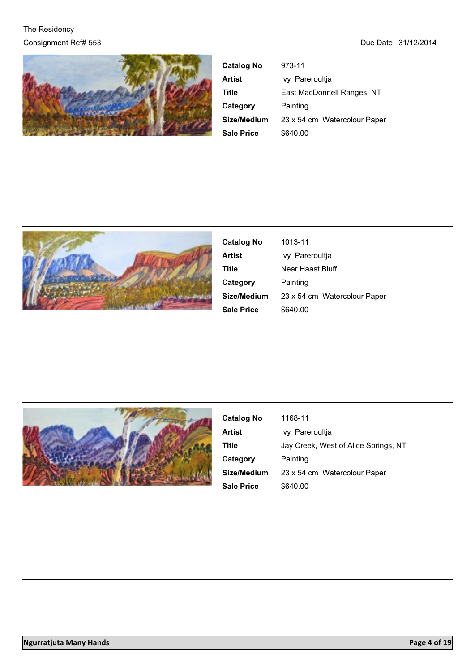

| <b>Catalog No</b> | 973-11                       |
|-------------------|------------------------------|
| <b>Artist</b>     | Ivy Pareroultia              |
| Title             | East MacDonnell Ranges, NT   |
| Category          | Painting                     |
| Size/Medium       | 23 x 54 cm Watercolour Paper |
| <b>Sale Price</b> | \$640.00                     |



| <b>Catalog No</b> | 1013-11                      |
|-------------------|------------------------------|
| <b>Artist</b>     | Ivy Pareroultja              |
| <b>Title</b>      | Near Haast Bluff             |
| Category          | Painting                     |
| Size/Medium       | 23 x 54 cm Watercolour Paper |
| <b>Sale Price</b> | \$640.00                     |



| <b>Catalog No</b> | 1168-11                              |
|-------------------|--------------------------------------|
| Artist            | Ivy Pareroultia                      |
| Title             | Jay Creek, West of Alice Springs, NT |
| Category          | Painting                             |
| Size/Medium       | 23 x 54 cm Watercolour Paper         |
| <b>Sale Price</b> | \$640.00                             |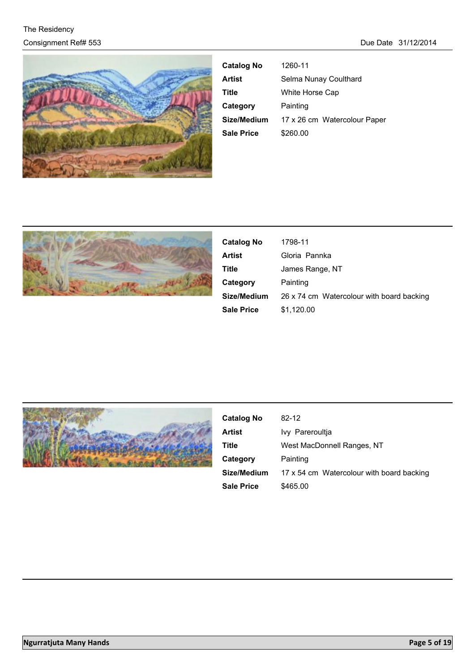

| <b>Catalog No</b> | 1260-11                      |
|-------------------|------------------------------|
| <b>Artist</b>     | Selma Nunay Coulthard        |
| Title             | White Horse Cap              |
| Category          | Painting                     |
| Size/Medium       | 17 x 26 cm Watercolour Paper |
| <b>Sale Price</b> | \$260.00                     |
|                   |                              |



| <b>Catalog No</b> | 1798-11                                   |
|-------------------|-------------------------------------------|
| Artist            | Gloria Pannka                             |
| Title             | James Range, NT                           |
| Category          | Painting                                  |
| Size/Medium       | 26 x 74 cm Watercolour with board backing |
| <b>Sale Price</b> | \$1,120.00                                |



| <b>Catalog No</b> | $82-12$                                   |
|-------------------|-------------------------------------------|
| Artist            | Ivy Pareroultia                           |
| Title             | West MacDonnell Ranges, NT                |
| Category          | Painting                                  |
| Size/Medium       | 17 x 54 cm Watercolour with board backing |
| <b>Sale Price</b> | \$465.00                                  |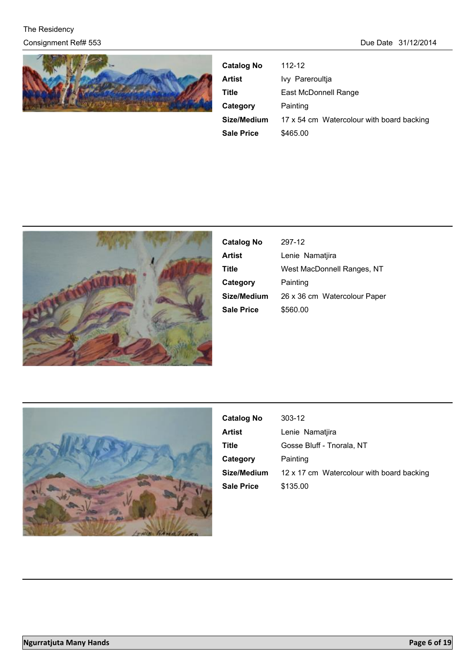

| <b>Catalog No</b> | 112-12                                    |
|-------------------|-------------------------------------------|
| Artist            | Ivy Pareroultja                           |
| Title             | East McDonnell Range                      |
| Category          | Painting                                  |
| Size/Medium       | 17 x 54 cm Watercolour with board backing |
| <b>Sale Price</b> | \$465.00                                  |



| <b>Catalog No</b> | 297-12                       |
|-------------------|------------------------------|
| Artist            | Lenie Namatjira              |
| Title             | West MacDonnell Ranges, NT   |
| Category          | Painting                     |
| Size/Medium       | 26 x 36 cm Watercolour Paper |
| <b>Sale Price</b> | \$560.00                     |



| <b>Catalog No</b> | 303-12                                    |
|-------------------|-------------------------------------------|
| Artist            | Lenie Namatiira                           |
| Title             | Gosse Bluff - Tnorala, NT                 |
| Category          | Painting                                  |
| Size/Medium       | 12 x 17 cm Watercolour with board backing |
| <b>Sale Price</b> | \$135.00                                  |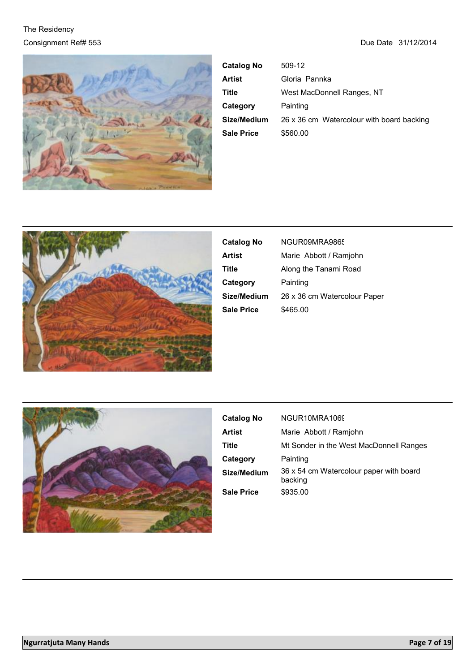

| <b>Catalog No</b> | 509-12                                    |
|-------------------|-------------------------------------------|
| Artist            | Gloria Pannka                             |
| Title             | West MacDonnell Ranges, NT                |
| Category          | Painting                                  |
| Size/Medium       | 26 x 36 cm Watercolour with board backing |
| <b>Sale Price</b> | \$560.00                                  |



| <b>Catalog No</b> | NGUR09MRA9865                |
|-------------------|------------------------------|
| Artist            | Marie Abbott / Ramjohn       |
| Title             | Along the Tanami Road        |
| Category          | Painting                     |
| Size/Medium       | 26 x 36 cm Watercolour Paper |
| <b>Sale Price</b> | \$465.00                     |
|                   |                              |



| <b>Catalog No</b> | NGUR10MRA1069                                      |
|-------------------|----------------------------------------------------|
| Artist            | Marie Abbott / Ramjohn                             |
| Title             | Mt Sonder in the West MacDonnell Ranges            |
| Category          | Painting                                           |
| Size/Medium       | 36 x 54 cm Watercolour paper with board<br>backing |
| <b>Sale Price</b> | \$935.00                                           |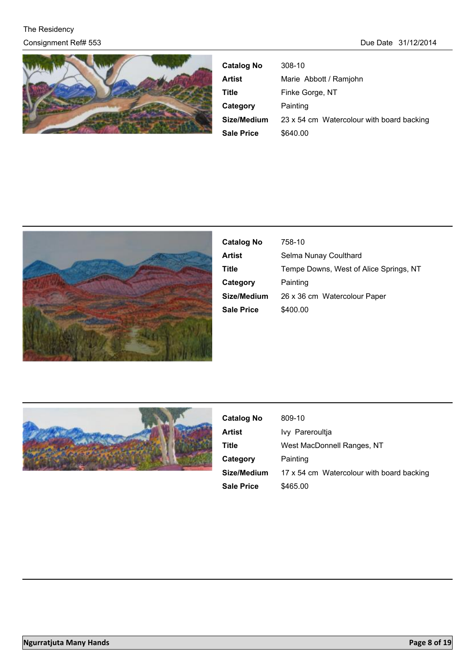

| <b>Catalog No</b> | $308-10$                                  |
|-------------------|-------------------------------------------|
| Artist            | Marie Abbott / Ramjohn                    |
| Title             | Finke Gorge, NT                           |
| Category          | Painting                                  |
| Size/Medium       | 23 x 54 cm Watercolour with board backing |
| Sale Price        | \$640.00                                  |



| <b>Catalog No</b> | 758-10                                 |
|-------------------|----------------------------------------|
| Artist            | Selma Nunay Coulthard                  |
| Title             | Tempe Downs, West of Alice Springs, NT |
| Category          | Painting                               |
| Size/Medium       | 26 x 36 cm Watercolour Paper           |
| Sale Price        | \$400.00                               |
|                   |                                        |



| <b>Catalog No</b> | 809-10                                    |
|-------------------|-------------------------------------------|
| <b>Artist</b>     | Ivy Pareroultia                           |
| Title             | West MacDonnell Ranges, NT                |
| Category          | Painting                                  |
| Size/Medium       | 17 x 54 cm Watercolour with board backing |
| <b>Sale Price</b> | \$465.00                                  |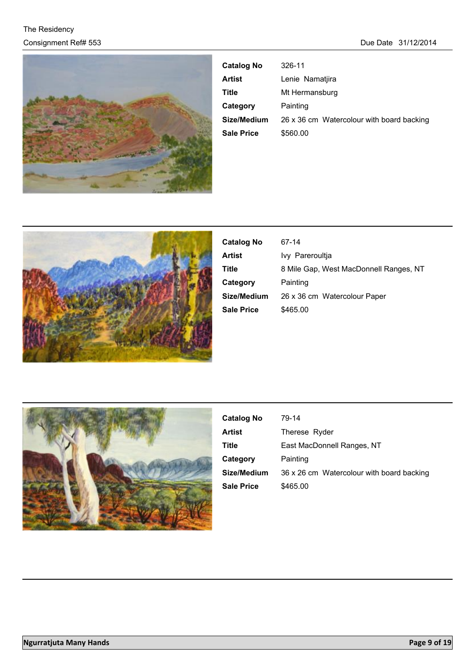

| <b>Catalog No</b> | 326-11                                    |
|-------------------|-------------------------------------------|
| Artist            | Lenie Namatjira                           |
| Title             | Mt Hermansburg                            |
| Category          | Painting                                  |
| Size/Medium       | 26 x 36 cm Watercolour with board backing |
| <b>Sale Price</b> | \$560.00                                  |



| <b>Catalog No</b> | 67-14                                  |
|-------------------|----------------------------------------|
| Artist            | Ivy Pareroultia                        |
| Title             | 8 Mile Gap, West MacDonnell Ranges, NT |
| Category          | Painting                               |
| Size/Medium       | 26 x 36 cm Watercolour Paper           |
| Sale Price        | \$465.00                               |
|                   |                                        |



| <b>Catalog No</b> | 79-14                                     |
|-------------------|-------------------------------------------|
| Artist            | Therese Ryder                             |
| Title             | East MacDonnell Ranges, NT                |
| Category          | Painting                                  |
| Size/Medium       | 36 x 26 cm Watercolour with board backing |
| <b>Sale Price</b> | \$465.00                                  |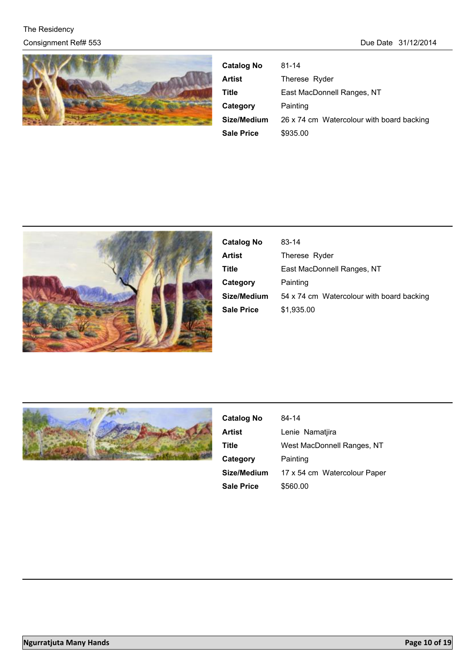

| <b>Catalog No</b> | $81 - 14$                                 |
|-------------------|-------------------------------------------|
| Artist            | Therese Ryder                             |
| Title             | East MacDonnell Ranges, NT                |
| Category          | Painting                                  |
| Size/Medium       | 26 x 74 cm Watercolour with board backing |
| <b>Sale Price</b> | \$935.00                                  |



| <b>Catalog No</b> | 83-14                                     |
|-------------------|-------------------------------------------|
| <b>Artist</b>     | Therese Ryder                             |
| Title             | East MacDonnell Ranges, NT                |
| Category          | Painting                                  |
| Size/Medium       | 54 x 74 cm Watercolour with board backing |
| <b>Sale Price</b> | \$1.935.00                                |



| <b>Catalog No</b> | 84-14                        |
|-------------------|------------------------------|
| Artist            | Lenie Namatiira              |
| Title             | West MacDonnell Ranges, NT   |
| Category          | Painting                     |
| Size/Medium       | 17 x 54 cm Watercolour Paper |
| <b>Sale Price</b> | \$560.00                     |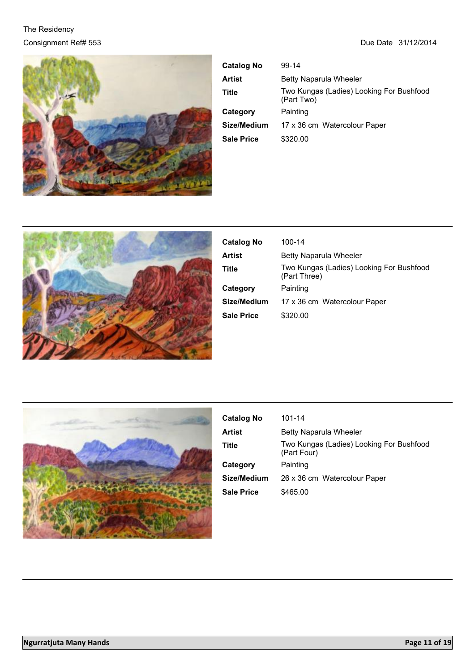

| <b>Catalog No</b> | 99-14                                                  |
|-------------------|--------------------------------------------------------|
| Artist            | Betty Naparula Wheeler                                 |
| Title             | Two Kungas (Ladies) Looking For Bushfood<br>(Part Two) |
| Category          | Painting                                               |
| Size/Medium       | 17 x 36 cm Watercolour Paper                           |
| <b>Sale Price</b> | \$320.00                                               |



| <b>Catalog No</b> | 100-14                                                   |
|-------------------|----------------------------------------------------------|
| Artist            | <b>Betty Naparula Wheeler</b>                            |
| Title             | Two Kungas (Ladies) Looking For Bushfood<br>(Part Three) |
| Category          | Painting                                                 |
| Size/Medium       | 17 x 36 cm Watercolour Paper                             |
| Sale Price        | \$320.00                                                 |



| <b>Catalog No</b> | 101-14                                                  |
|-------------------|---------------------------------------------------------|
| <b>Artist</b>     | <b>Betty Naparula Wheeler</b>                           |
| Title             | Two Kungas (Ladies) Looking For Bushfood<br>(Part Four) |
| Category          | Painting                                                |
| Size/Medium       | 26 x 36 cm Watercolour Paper                            |
| <b>Sale Price</b> | \$465.00                                                |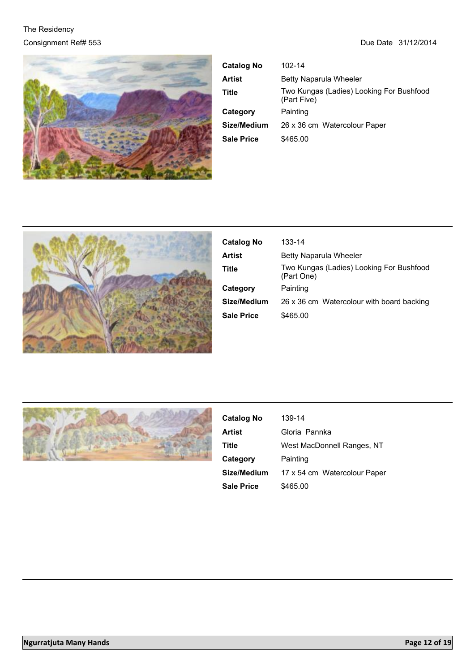

| <b>Catalog No</b> | 102-14                                                  |
|-------------------|---------------------------------------------------------|
| Artist            | Betty Naparula Wheeler                                  |
| Title             | Two Kungas (Ladies) Looking For Bushfood<br>(Part Five) |
| Category          | Painting                                                |
| Size/Medium       | 26 x 36 cm Watercolour Paper                            |
| <b>Sale Price</b> | \$465.00                                                |
|                   |                                                         |



| <b>Catalog No</b> | 133-14                                                 |
|-------------------|--------------------------------------------------------|
| <b>Artist</b>     | Betty Naparula Wheeler                                 |
| Title             | Two Kungas (Ladies) Looking For Bushfood<br>(Part One) |
| Category          | Painting                                               |
| Size/Medium       | 26 x 36 cm Watercolour with board backing              |
| Sale Price        | \$465.00                                               |



| <b>Catalog No</b> | 139-14                       |
|-------------------|------------------------------|
| <b>Artist</b>     | Gloria Pannka                |
| Title             | West MacDonnell Ranges, NT   |
| Category          | Painting                     |
| Size/Medium       | 17 x 54 cm Watercolour Paper |
| <b>Sale Price</b> | \$465.00                     |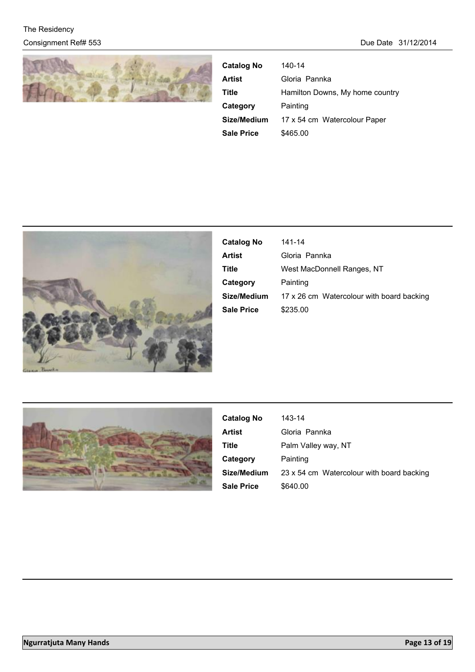

| <b>Catalog No</b> | 140-14                          |
|-------------------|---------------------------------|
| <b>Artist</b>     | Gloria Pannka                   |
| Title             | Hamilton Downs, My home country |
| Category          | Painting                        |
| Size/Medium       | 17 x 54 cm Watercolour Paper    |
| <b>Sale Price</b> | \$465.00                        |



| <b>Catalog No</b> | 141-14                                    |
|-------------------|-------------------------------------------|
| Artist            | Gloria Pannka                             |
| Title             | West MacDonnell Ranges, NT                |
| Category          | Painting                                  |
| Size/Medium       | 17 x 26 cm Watercolour with board backing |
| <b>Sale Price</b> | \$235.00                                  |
|                   |                                           |



| <b>Catalog No</b> | 143-14                                    |
|-------------------|-------------------------------------------|
| Artist            | Gloria Pannka                             |
| Title             | Palm Valley way, NT                       |
| Category          | Painting                                  |
| Size/Medium       | 23 x 54 cm Watercolour with board backing |
| <b>Sale Price</b> | \$640.00                                  |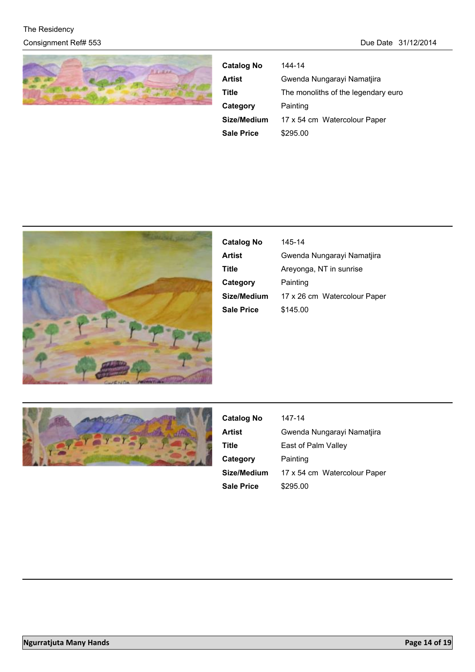

| <b>Catalog No</b> | 144-14                              |
|-------------------|-------------------------------------|
| <b>Artist</b>     | Gwenda Nungarayi Namatjira          |
| Title             | The monoliths of the legendary euro |
| Category          | Painting                            |
| Size/Medium       | 17 x 54 cm Watercolour Paper        |
| <b>Sale Price</b> | \$295.00                            |



| <b>Catalog No</b> | 145-14                       |
|-------------------|------------------------------|
| Artist            | Gwenda Nungarayi Namatjira   |
| Title             | Areyonga, NT in sunrise      |
| Category          | Painting                     |
| Size/Medium       | 17 x 26 cm Watercolour Paper |
| <b>Sale Price</b> | \$145.00                     |



| <b>Catalog No</b> | 147-14                       |
|-------------------|------------------------------|
| <b>Artist</b>     | Gwenda Nungarayi Namatjira   |
| Title             | East of Palm Valley          |
| Category          | Painting                     |
| Size/Medium       | 17 x 54 cm Watercolour Paper |
| <b>Sale Price</b> | \$295.00                     |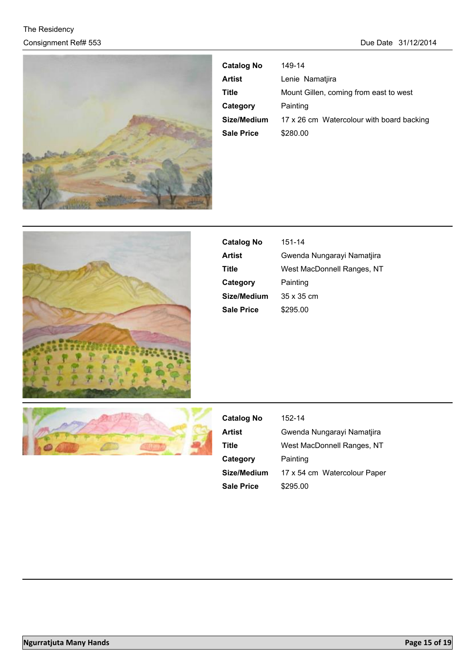

| <b>Catalog No</b> | 149-14                                    |
|-------------------|-------------------------------------------|
| Artist            | Lenie Namatiira                           |
| Title             | Mount Gillen, coming from east to west    |
| Category          | Painting                                  |
| Size/Medium       | 17 x 26 cm Watercolour with board backing |
| <b>Sale Price</b> | \$280.00                                  |



| <b>Catalog No</b> | 151-14                     |
|-------------------|----------------------------|
| Artist            | Gwenda Nungarayi Namatjira |
| Title             | West MacDonnell Ranges, NT |
| Category          | Painting                   |
| Size/Medium       | $35 \times 35$ cm          |
| Sale Price        | \$295.00                   |



| <b>Catalog No</b> | 152-14                       |
|-------------------|------------------------------|
| <b>Artist</b>     | Gwenda Nungarayi Namatjira   |
| Title             | West MacDonnell Ranges, NT   |
| Category          | Painting                     |
| Size/Medium       | 17 x 54 cm Watercolour Paper |
| <b>Sale Price</b> | \$295.00                     |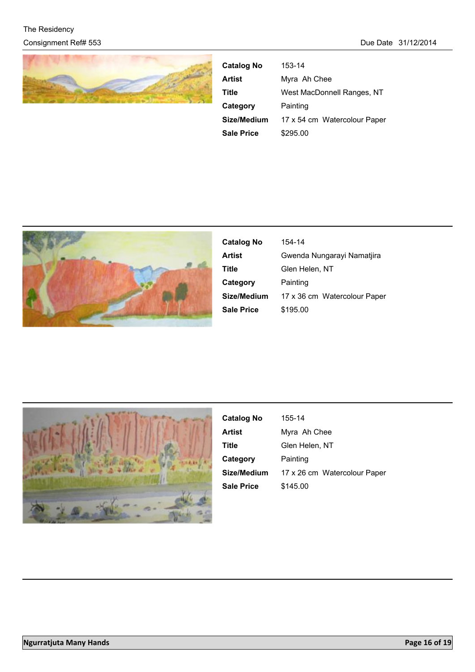

| <b>Catalog No</b> | 153-14                       |
|-------------------|------------------------------|
| <b>Artist</b>     | Myra Ah Chee                 |
| Title             | West MacDonnell Ranges, NT   |
| Category          | Painting                     |
| Size/Medium       | 17 x 54 cm Watercolour Paper |
| <b>Sale Price</b> | \$295.00                     |



| <b>Catalog No</b> | 154-14                       |
|-------------------|------------------------------|
| Artist            | Gwenda Nungarayi Namatjira   |
| Title             | Glen Helen, NT               |
| Category          | Painting                     |
| Size/Medium       | 17 x 36 cm Watercolour Paper |
| <b>Sale Price</b> | \$195.00                     |



| <b>Catalog No</b> | 155-14                       |
|-------------------|------------------------------|
| <b>Artist</b>     | Myra Ah Chee                 |
| Title             | Glen Helen, NT               |
| Category          | Painting                     |
| Size/Medium       | 17 x 26 cm Watercolour Paper |
| <b>Sale Price</b> | \$145.00                     |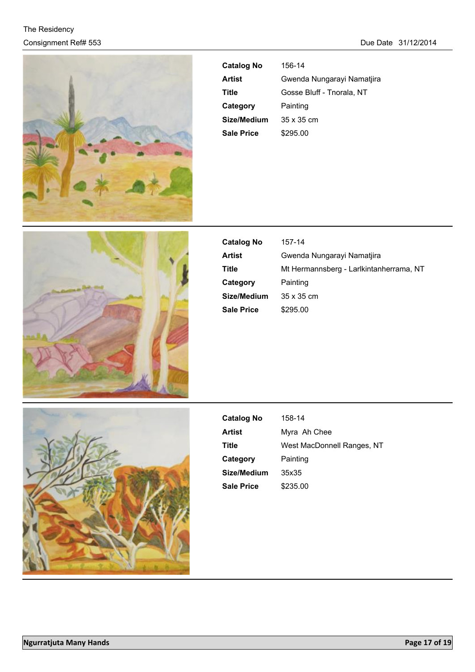

| <b>Catalog No</b> | 156-14                     |
|-------------------|----------------------------|
| Artist            | Gwenda Nungarayi Namatjira |
| Title             | Gosse Bluff - Tnorala, NT  |
| Category          | Painting                   |
| Size/Medium       | $35 \times 35$ cm          |
| <b>Sale Price</b> | \$295.00                   |



| <b>Catalog No</b> | 157-14                                  |
|-------------------|-----------------------------------------|
| Artist            | Gwenda Nungarayi Namatjira              |
| Title             | Mt Hermannsberg - Larlkintanherrama, NT |
| Category          | Painting                                |
| Size/Medium       | $35 \times 35$ cm                       |
| <b>Sale Price</b> | \$295.00                                |



| <b>Catalog No</b> | 158-14                     |
|-------------------|----------------------------|
| Artist            | Myra Ah Chee               |
| Title             | West MacDonnell Ranges, NT |
| Category          | Painting                   |
| Size/Medium       | 35x35                      |
| <b>Sale Price</b> | \$235.00                   |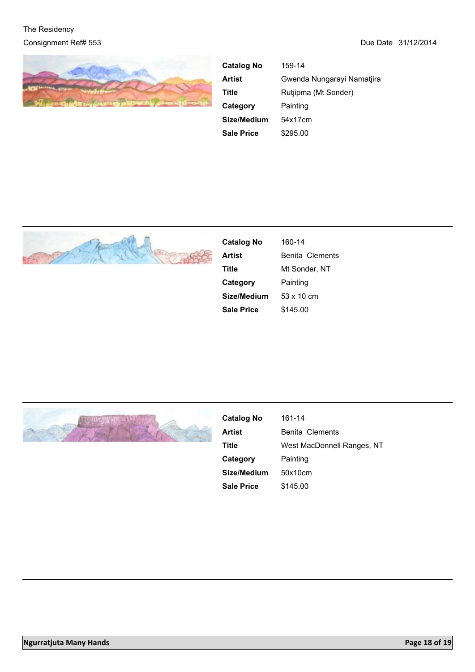

| <b>Catalog No</b> | 159-14                     |
|-------------------|----------------------------|
| <b>Artist</b>     | Gwenda Nungarayi Namatjira |
| Title             | Rutjipma (Mt Sonder)       |
| Category          | Painting                   |
| Size/Medium       | 54x17cm                    |
| <b>Sale Price</b> | \$295.00                   |



| <b>Catalog No</b> | 160-14          |
|-------------------|-----------------|
| Artist            | Benita Clements |
| Title             | Mt Sonder, NT   |
| Category          | Painting        |
| Size/Medium       | 53 x 10 cm      |
| <b>Sale Price</b> | \$145.00        |



| <b>Catalog No</b> | 161-14                     |
|-------------------|----------------------------|
| Artist            | Benita Clements            |
| Title             | West MacDonnell Ranges, NT |
| Category          | Painting                   |
| Size/Medium       | 50x10cm                    |
| Sale Price        | \$145.00                   |